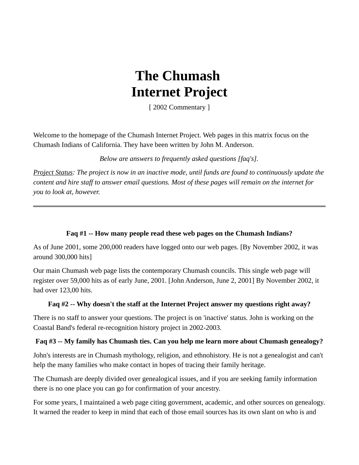# **The Chumash Internet Project**

[ 2002 Commentary ]

Welcome to the homepage of the Chumash Internet Project. Web pages in this matrix focus on the Chumash Indians of California. They have been written by John M. Anderson.

*Below are answers to frequently asked questions [faq's].*

*Project Status: The project is now in an inactive mode, until funds are found to continuously update the content and hire staff to answer email questions. Most of these pages will remain on the internet for you to look at, however.* 

### **Faq #1 -- How many people read these web pages on the Chumash Indians?**

As of June 2001, some 200,000 readers have logged onto our web pages. [By November 2002, it was around 300,000 hits]

Our main Chumash web page lists the contemporary Chumash councils. This single web page will register over 59,000 hits as of early June, 2001. [John Anderson, June 2, 2001] By November 2002, it had over 123,00 hits.

#### **Faq #2 -- Why doesn't the staff at the Internet Project answer my questions right away?**

There is no staff to answer your questions. The project is on 'inactive' status. John is working on the Coastal Band's federal re-recognition history project in 2002-2003.

## **Faq #3 -- My family has Chumash ties. Can you help me learn more about Chumash genealogy?**

John's interests are in Chumash mythology, religion, and ethnohistory. He is not a genealogist and can't help the many families who make contact in hopes of tracing their family heritage.

The Chumash are deeply divided over genealogical issues, and if you are seeking family information there is no one place you can go for confirmation of your ancestry.

For some years, I maintained a web page citing government, academic, and other sources on genealogy. It warned the reader to keep in mind that each of those email sources has its own slant on who is and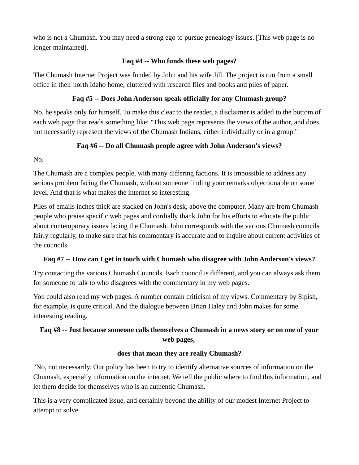who is not a Chumash. You may need a strong ego to pursue genealogy issues. [This web page is no longer maintained].

## **Faq #4 -- Who funds these web pages?**

The Chumash Internet Project was funded by John and his wife Jill. The project is run from a small office in their north Idaho home, cluttered with research files and books and piles of paper.

## **Faq #5 -- Does John Anderson speak officially for any Chumash group?**

No, he speaks only for himself. To make this clear to the reader, a disclaimer is added to the bottom of each web page that reads something like: "This web page represents the views of the author, and does not necessarily represent the views of the Chumash Indians, either individually or in a group."

# **Faq #6 -- Do all Chumash people agree with John Anderson's views?**

No.

The Chumash are a complex people, with many differing factions. It is impossible to address any serious problem facing the Chumash, without someone finding your remarks objectionable on some level. And that is what makes the internet so interesting.

Piles of emails inches thick are stacked on John's desk, above the computer. Many are from Chumash people who praise specific web pages and cordially thank John for his efforts to educate the public about contemporary issues facing the Chumash. John corresponds with the various Chumash councils fairly regularly, to make sure that his commentary is accurate and to inquire about current activities of the councils.

## **Faq #7 -- How can I get in touch with Chumash who disagree with John Anderson's views?**

Try contacting the various Chumash Councils. Each council is different, and you can always ask them for someone to talk to who disagrees with the commentary in my web pages.

You could also read my web pages. A number contain criticism of my views. Commentary by Sipish, for example, is quite critical. And the dialogue between Brian Haley and John makes for some interesting reading.

# **Faq #8 -- Just because someone calls themselves a Chumash in a news story or on one of your web pages,**

## **does that mean they are really Chumash?**

"No, not necessarily. Our policy has been to try to identify alternative sources of information on the Chumash, especially information on the internet. We tell the public where to find this information, and let them decide for themselves who is an authentic Chumash.

This is a very complicated issue, and certainly beyond the ability of our modest Internet Project to attempt to solve.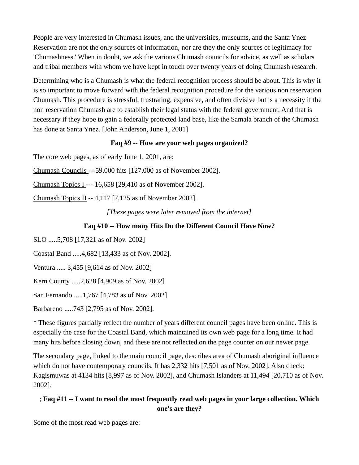People are very interested in Chumash issues, and the universities, museums, and the Santa Ynez Reservation are not the only sources of information, nor are they the only sources of legitimacy for 'Chumashness.' When in doubt, we ask the various Chumash councils for advice, as well as scholars and tribal members with whom we have kept in touch over twenty years of doing Chumash research.

Determining who is a Chumash is what the federal recognition process should be about. This is why it is so important to move forward with the federal recognition procedure for the various non reservation Chumash. This procedure is stressful, frustrating, expensive, and often divisive but is a necessity if the non reservation Chumash are to establish their legal status with the federal government. And that is necessary if they hope to gain a federally protected land base, like the Samala branch of the Chumash has done at Santa Ynez. [John Anderson, June 1, 2001]

#### **Faq #9 -- How are your web pages organized?**

The core web pages, as of early June 1, 2001, are:

Chumash Councils ---59,000 hits [127,000 as of November 2002].

Chumash Topics I --- 16,658 [29,410 as of November 2002].

Chumash Topics II -- 4,117 [7,125 as of November 2002].

*[These pages were later removed from the internet]*

## **Faq #10 -- How many Hits Do the Different Council Have Now?**

SLO .....5,708 [17,321 as of Nov. 2002]

Coastal Band .....4,682 [13,433 as of Nov. 2002].

Ventura ..... 3,455 [9,614 as of Nov. 2002]

Kern County .....2,628 [4,909 as of Nov. 2002]

San Fernando .....1,767 [4,783 as of Nov. 2002]

Barbareno .....743 [2,795 as of Nov. 2002].

\* These figures partially reflect the number of years different council pages have been online. This is especially the case for the Coastal Band, which maintained its own web page for a long time. It had many hits before closing down, and these are not reflected on the page counter on our newer page.

The secondary page, linked to the main council page, describes area of Chumash aboriginal influence which do not have contemporary councils. It has 2,332 hits [7,501 as of Nov. 2002]. Also check: Kagismuwas at 4134 hits [8,997 as of Nov. 2002], and Chumash Islanders at 11,494 [20,710 as of Nov. 2002].

# ; **Faq #11 -- I want to read the most frequently read web pages in your large collection. Which one's are they?**

Some of the most read web pages are: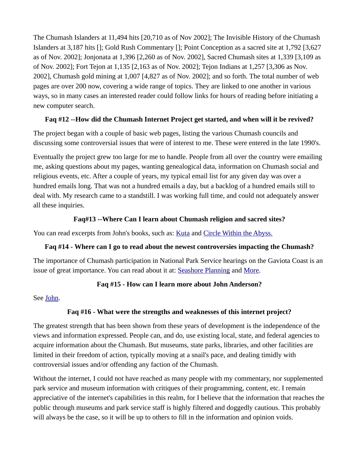The Chumash Islanders at 11,494 hits [20,710 as of Nov 2002]; The Invisible History of the Chumash Islanders at 3,187 hits []; Gold Rush Commentary []; Point Conception as a sacred site at 1,792 [3,627 as of Nov. 2002]; Jonjonata at 1,396 [2,260 as of Nov. 2002], Sacred Chumash sites at 1,339 [3,109 as of Nov. 2002]; Fort Tejon at 1,135 [2,163 as of Nov. 2002]; Tejon Indians at 1,257 [3,306 as Nov. 2002], Chumash gold mining at 1,007 [4,827 as of Nov. 2002]; and so forth. The total number of web pages are over 200 now, covering a wide range of topics. They are linked to one another in various ways, so in many cases an interested reader could follow links for hours of reading before initiating a new computer search.

# **Faq #12 --How did the Chumash Internet Project get started, and when will it be revived?**

The project began with a couple of basic web pages, listing the various Chumash councils and discussing some controversial issues that were of interest to me. These were entered in the late 1990's.

Eventually the project grew too large for me to handle. People from all over the country were emailing me, asking questions about my pages, wanting genealogical data, information on Chumash social and religious events, etc. After a couple of years, my typical email list for any given day was over a hundred emails long. That was not a hundred emails a day, but a backlog of a hundred emails still to deal with. My research came to a standstill. I was working full time, and could not adequately answer all these inquiries.

# **Faq#13 --Where Can I learn about Chumash religion and sacred sites?**

You can read excerpts from John's books, such as: [Kuta](http://www.angelfire.com/id/newpubs/kuta.html) and [Circle Within the Abyss.](http://www.angelfire.com/id/newpubs/circle.html)

## **Faq #14 - Where can I go to read about the newest controversies impacting the Chumash?**

The importance of Chumash participation in National Park Service hearings on the Gaviota Coast is an issue of great importance. You can read about it at: [Seashore Planning](http://www.angelfire.com/id/newpubs/seashore22.html) and [More.](http://www.angelfire.com/id/newpubs/seashore24.html)

# **Faq #15 - How can I learn more about John Anderson?**

See [John.](http://www.angelfire.com/id/newpubs/author.html)

# **Faq #16 - What were the strengths and weaknesses of this internet project?**

The greatest strength that has been shown from these years of development is the independence of the views and information expressed. People can, and do, use existing local, state, and federal agencies to acquire information about the Chumash. But museums, state parks, libraries, and other facilities are limited in their freedom of action, typically moving at a snail's pace, and dealing timidly with controversial issues and/or offending any faction of the Chumash.

Without the internet, I could not have reached as many people with my commentary, nor supplemented park service and museum information with critiques of their programming, content, etc. I remain appreciative of the internet's capabilities in this realm, for I believe that the information that reaches the public through museums and park service staff is highly filtered and doggedly cautious. This probably will always be the case, so it will be up to others to fill in the information and opinion voids.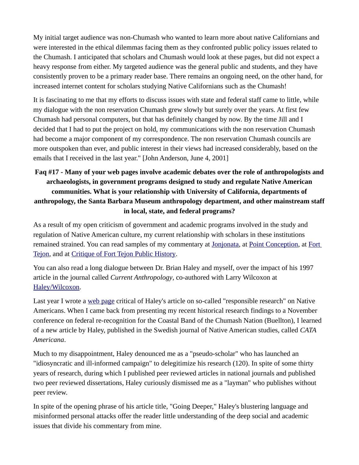My initial target audience was non-Chumash who wanted to learn more about native Californians and were interested in the ethical dilemmas facing them as they confronted public policy issues related to the Chumash. I anticipated that scholars and Chumash would look at these pages, but did not expect a heavy response from either. My targeted audience was the general public and students, and they have consistently proven to be a primary reader base. There remains an ongoing need, on the other hand, for increased internet content for scholars studying Native Californians such as the Chumash!

It is fascinating to me that my efforts to discuss issues with state and federal staff came to little, while my dialogue with the non reservation Chumash grew slowly but surely over the years. At first few Chumash had personal computers, but that has definitely changed by now. By the time Jill and I decided that I had to put the project on hold, my communications with the non reservation Chumash had become a major component of my correspondence. The non reservation Chumash councils are more outspoken than ever, and public interest in their views had increased considerably, based on the emails that I received in the last year." [John Anderson, June 4, 2001]

# **Faq #17 - Many of your web pages involve academic debates over the role of anthropologists and archaeologists, in government programs designed to study and regulate Native American communities. What is your relationship with University of California, departments of anthropology, the Santa Barbara Museum anthropology department, and other mainstream staff in local, state, and federal programs?**

As a result of my open criticism of government and academic programs involved in the study and regulation of Native American culture, my current relationship with scholars in these institutions remained strained. You can read samples of my commentary at [Jonjonata,](http://www.angelfire.com/id/newpubs/jonjonata.html) at [Point Conception,](http://www.angelfire.com/id/newpubs/conception.html) at Fort [Tejon,](http://www.angelfire.com/id/newpubs/tejon.html) and at [Critique of Fort Tejon Public History.](http://www.angelfire.com/id/newpubs/forttejon99.html)

You can also read a long dialogue between Dr. Brian Haley and myself, over the impact of his 1997 article in the journal called *Current Anthropology*, co-authored with Larry Wilcoxon at [Haley/Wilcoxon.](http://www.angelfire.com/id/newpubs/haleywil.html)

Last year I wrote a [web page](http://www.angelfire.com/id/newpubs/haley33.html) critical of Haley's article on so-called "responsible research" on Native Americans. When I came back from presenting my recent historical research findings to a November conference on federal re-recognition for the Coastal Band of the Chumash Nation (Buellton), I learned of a new article by Haley, published in the Swedish journal of Native American studies, called *CATA Americana*.

Much to my disappointment, Haley denounced me as a "pseudo-scholar" who has launched an "idiosyncratic and ill-informed campaign" to delegitimize his research (120). In spite of some thirty years of research, during which I published peer reviewed articles in national journals and published two peer reviewed dissertations, Haley curiously dismissed me as a "layman" who publishes without peer review.

In spite of the opening phrase of his article title, "Going Deeper," Haley's blustering language and misinformed personal attacks offer the reader little understanding of the deep social and academic issues that divide his commentary from mine.